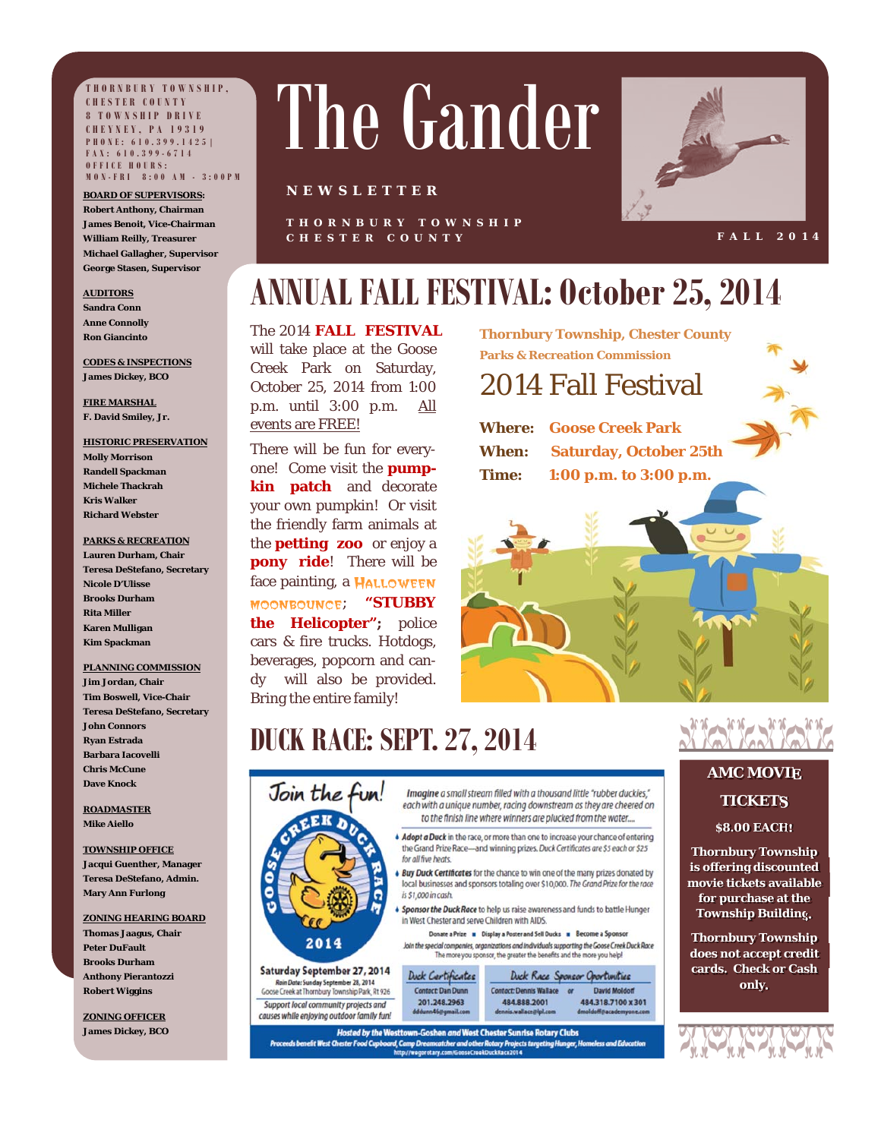**THORNBURY TOWNSHIP, CHESTER COUNTY 8 TOWNSHIP DRIVE CHEYNEY, PA 19319 PHONE: 610.399.1425| FAX: 610.399-6714 OFFICE HOURS: MON-FRI 8:00 AM - 3:00PM**

**BOARD OF SUPERVISORS: Robert Anthony, Chairman James Benoit, Vice-Chairman William Reilly, Treasurer Michael Gallagher, Supervisor George Stasen, Supervisor** 

#### **AUDITORS Sandra Conn**

**Anne Connolly Ron Giancinto** 

**CODES & INSPECTIONS James Dickey, BCO** 

**FIRE MARSHAL F. David Smiley, Jr.** 

## **HISTORIC PRESERVATION**

**Molly Morrison Randell Spackman Michele Thackrah Kris Walker Richard Webster** 

## **PARKS & RECREATION**

**Lauren Durham, Chair Teresa DeStefano, Secretary Nicole D'Ulisse Brooks Durham Rita Miller Karen Mulligan Kim Spackman** 

### **PLANNING COMMISSION Jim Jordan, Chair Tim Boswell, Vice-Chair Teresa DeStefano, Secretary John Connors Ryan Estrada Barbara Iacovelli**

**Chris McCune Dave Knock** 

**ROADMASTER Mike Aiello** 

#### **TOWNSHIP OFFICE Jacqui Guenther, Manager**

**Teresa DeStefano, Admin. Mary Ann Furlong** 

## **ZONING HEARING BOARD**

**Thomas Jaagus, Chair Peter DuFault Brooks Durham Anthony Pierantozzi Robert Wiggins** 

**ZONING OFFICER James Dickey, BCO** 

# The Gander

## **NEWSLETTER**

**THORNBURY TOWNSHIP CHESTER COUNTY** 



**FALL 2014** 

# **ANNUAL FALL FESTIVAL: October 25, 2014**

# The 2014 **FALL FESTIVAL**

will take place at the Goose Creek Park on Saturday, October 25, 2014 from 1:00 p.m. until 3:00 p.m. All events are FREE!

There will be fun for everyone! Come visit the **pumpkin patch** and decorate your own pumpkin! Or visit the friendly farm animals at the **petting zoo** or enjoy a **pony ride**! There will be face painting, a HALLOWEEN moonbounce; **"STUBBY the Helicopter";** police cars & fire trucks. Hotdogs, beverages, popcorn and candy will also be provided. Bring the entire family!

**Thornbury Township, Chester County Parks & Recreation Commission** 

# 2014 Fall Festival

**Where: Goose Creek Park When: Saturday, October 25th Time: 1:00 p.m. to 3:00 p.m.** 



# **DUCK RACE: SEPT. 27, 2014**



Saturday September 27, 2014 Rain Date: Sunday September 28, 2014<br>Goose Creek at Thornbury Township Park, Rt 926 Support local community projects and

Imaalne a small stream filled with a thousand little "rubber duckies." each with a unique number, racing downstream as they are cheered on to the finish line where winners are plucked from the water....

• Adopt a Duck in the race, or more than one to increase your chance of entering the Grand Prize Race-and winning prizes. Duck Certificates are \$5 each or \$25 for all five heats.

**Buy Duck Certificates** for the chance to win one of the many prizes donated by local businesses and sponsors totaling over \$10,000. The Grand Prize for the race is \$1,000 in cash.

**Sponsor the Duck Race** to help us raise awareness and funds to battle Hunger in West Chester and serve Children with AIDS.

Donate a Prize **a** Display a Poster and Sell Ducks **a** Become a Sponsor Join the special companies, organizations and individuals supporting the Goose Creek Duck Race<br>The more you sponsor, the greater the benefits and the more you help!

Duck Race Sponsor Oportunities

**David Moldorf** 

Duck Cartificates Contact: Dan Dunn 201.248.2963 causes while enjoying outdoor family fun!

Hosted by the Westtown-Goshen and West Chester Sunrise Rotary Clubs Proceeds benefit West Chester Food Cupboard, Camp Dreamcatcher and other Rotary Projects targeting Hunger, Homeless and Education



Sikalka **AMC MOVIE**

# **TICKETS**

## **\$8.00 EACH!**

**Thornbury Township is offering discounted movie tickets available for purchase at the Township Building.**

**Thornbury Township does not accept credit cards. Check or Cash only.** 

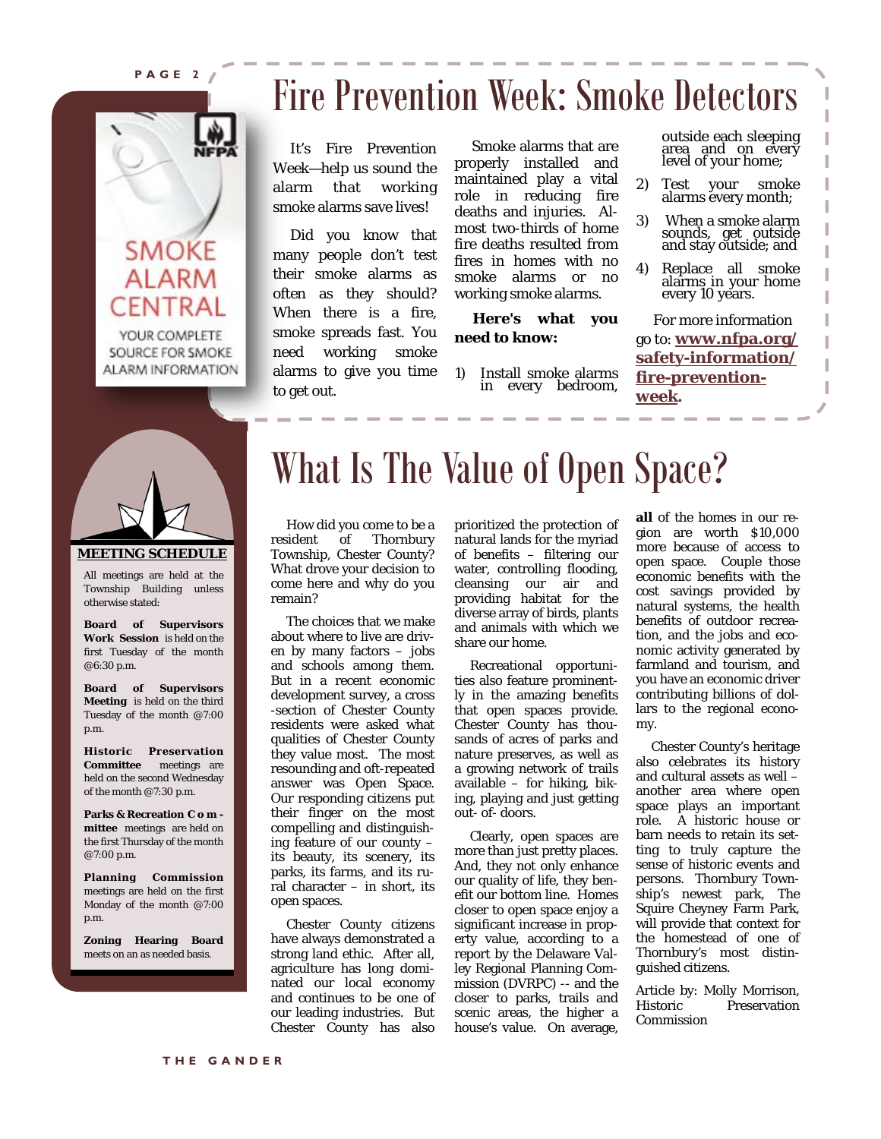**PAGE 2** 



# Fire Prevention Week: Smoke Detectors

 It's Fire Prevention Week—help us sound the alarm that working smoke alarms save lives!

 Did you know that many people don't test their smoke alarms as often as they should? When there is a fire, smoke spreads fast. You need working smoke alarms to give you time to get out.

 Smoke alarms that are properly installed and maintained play a vital role in reducing fire deaths and injuries. Almost two-thirds of home fire deaths resulted from fires in homes with no smoke alarms or no working smoke alarms.

 **Here's what you need to know:** 

1) Install smoke alarms in every bedroom,

outside each sleeping area and on every level of your home;

- 2) Test your smoke alarms every month;
- 3) When a smoke alarm sounds, get outside and stay outside; and
- 4) Replace all smoke alarms in your home every 10 years.

 For more information go to: **www.nfpa.org/ safety-information/ fire-preventionweek.** 



## **MEETING SCHEDULE**

 Township Building unless All meetings are held at the otherwise stated:

**Board of Supervisors Work Session** is held on the first Tuesday of the month @6:30 p.m.

**Board of Supervisors Meeting** is held on the third Tuesday of the month @7:00 p.m.

**Historic Preservation Committee** meetings are held on the second Wednesday of the month @7:30 p.m.

**Parks & Recreation C o m mittee** meetings are held on the first Thursday of the month @7:00 p.m.

**Planning Commission**  meetings are held on the first Monday of the month @7:00 p.m.

**Zoning Hearing Board** meets on an as needed basis.

# What Is The Value of Open Space?

How did you come to be a<br>resident of Thornbury Thornbury Township, Chester County? What drove your decision to come here and why do you remain?

 The choices that we make about where to live are driven by many factors – jobs and schools among them. But in a recent economic development survey, a cross -section of Chester County residents were asked what qualities of Chester County they value most. The most resounding and oft-repeated answer was Open Space. Our responding citizens put their finger on the most compelling and distinguishing feature of our county – its beauty, its scenery, its parks, its farms, and its rural character – in short, its open spaces.

 Chester County citizens have always demonstrated a strong land ethic. After all, agriculture has long dominated our local economy and continues to be one of our leading industries. But Chester County has also

prioritized the protection of natural lands for the myriad of benefits – filtering our water, controlling flooding, cleansing our air and providing habitat for the diverse array of birds, plants and animals with which we share our home.

 Recreational opportunities also feature prominently in the amazing benefits that open spaces provide. Chester County has thousands of acres of parks and nature preserves, as well as a growing network of trails available – for hiking, biking, playing and just getting out- of- doors.

 Clearly, open spaces are more than just pretty places. And, they not only enhance our quality of life, they benefit our bottom line. Homes closer to open space enjoy a significant increase in property value, according to a report by the Delaware Valley Regional Planning Commission (DVRPC) -- and the closer to parks, trails and scenic areas, the higher a house's value. On average,

**all** of the homes in our region are worth \$10,000 more because of access to open space. Couple those economic benefits with the cost savings provided by natural systems, the health benefits of outdoor recreation, and the jobs and economic activity generated by farmland and tourism, and you have an economic driver contributing billions of dollars to the regional economy.

 Chester County's heritage also celebrates its history and cultural assets as well – another area where open space plays an important role. A historic house or barn needs to retain its setting to truly capture the sense of historic events and persons. Thornbury Township's newest park, The Squire Cheyney Farm Park, will provide that context for the homestead of one of Thornbury's most distinguished citizens.

Article by: Molly Morrison, Historic Preservation Commission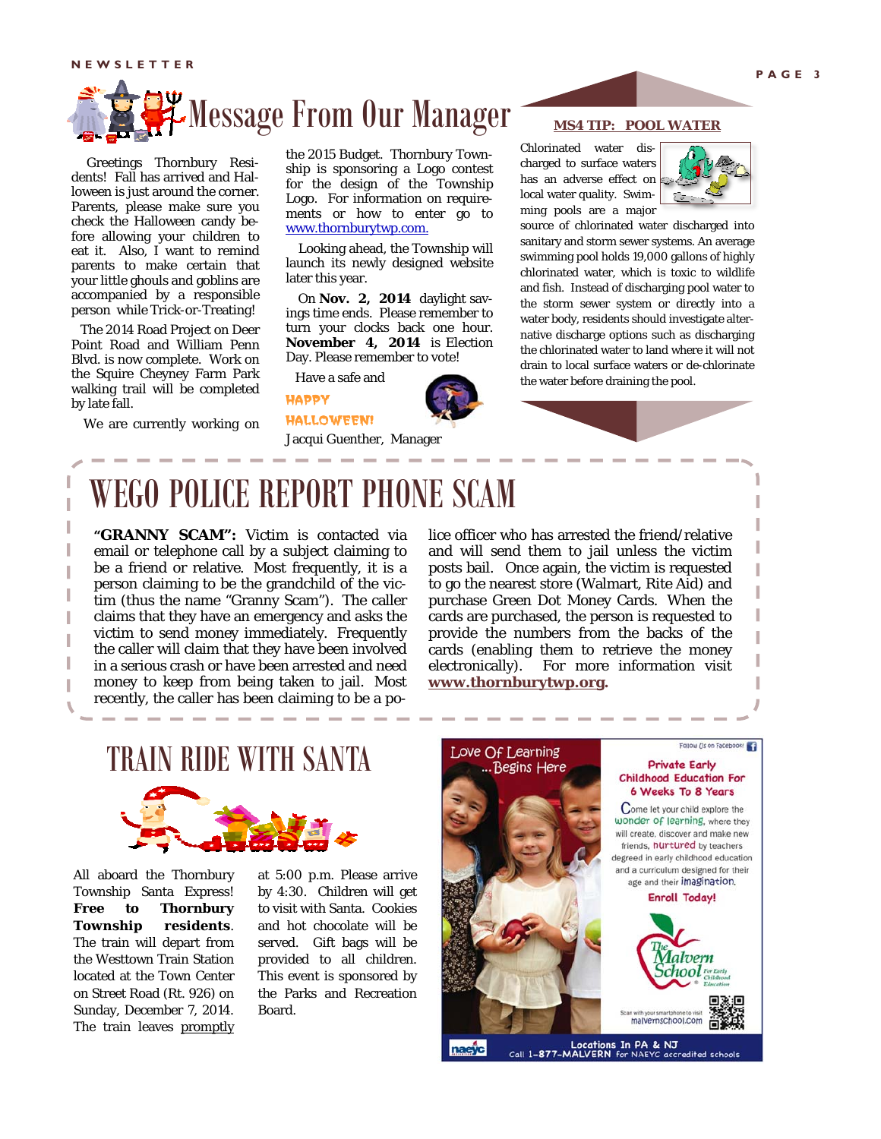**NEWSLETTER** 



 Greetings Thornbury Residents! Fall has arrived and Halloween is just around the corner. Parents, please make sure you check the Halloween candy before allowing your children to eat it. Also, I want to remind parents to make certain that your little ghouls and goblins are accompanied by a responsible person while Trick-or-Treating!

 The 2014 Road Project on Deer Point Road and William Penn Blvd. is now complete. Work on the Squire Cheyney Farm Park walking trail will be completed by late fall.

We are currently working on

the 2015 Budget. Thornbury Township is sponsoring a Logo contest for the design of the Township Logo. For information on requirements or how to enter go to www.thornburytwp.com.

 Looking ahead, the Township will launch its newly designed website later this year.

 On **Nov. 2, 2014** daylight savings time ends. Please remember to turn your clocks back one hour. **November 4, 2014** is Election Day. Please remember to vote!

Have a safe and

HAPPY





Jacqui Guenther, Manager

## **MS4 TIP: POOL WATER**

Chlorinated water discharged to surface waters has an adverse effect on local water quality. Swimming pools are a major



source of chlorinated water discharged into sanitary and storm sewer systems. An average swimming pool holds 19,000 gallons of highly chlorinated water, which is toxic to wildlife and fish. Instead of discharging pool water to the storm sewer system or directly into a water body, residents should investigate alternative discharge options such as discharging the chlorinated water to land where it will not drain to local surface waters or de-chlorinate the water before draining the pool.

# WEGO POLICE REPORT PHONE SCAM

**"GRANNY SCAM":** Victim is contacted via email or telephone call by a subject claiming to be a friend or relative. Most frequently, it is a person claiming to be the grandchild of the victim (thus the name "Granny Scam"). The caller claims that they have an emergency and asks the victim to send money immediately. Frequently the caller will claim that they have been involved in a serious crash or have been arrested and need money to keep from being taken to jail. Most recently, the caller has been claiming to be a police officer who has arrested the friend/relative and will send them to jail unless the victim posts bail. Once again, the victim is requested to go the nearest store (Walmart, Rite Aid) and purchase Green Dot Money Cards. When the cards are purchased, the person is requested to provide the numbers from the backs of the cards (enabling them to retrieve the money electronically). For more information visit **www.thornburytwp.org.** 

# TRAIN RIDE WITH SANTA



All aboard the Thornbury Township Santa Express! **Free to Thornbury Township residents**. The train will depart from the Westtown Train Station located at the Town Center on Street Road (Rt. 926) on Sunday, December 7, 2014. The train leaves promptly

at 5:00 p.m. Please arrive by 4:30. Children will get to visit with Santa. Cookies and hot chocolate will be served. Gift bags will be provided to all children. This event is sponsored by the Parks and Recreation Board.



Locations In PA & NJ<br>Call 1-877-MALVERN for NAEYC accredited schools naeyc